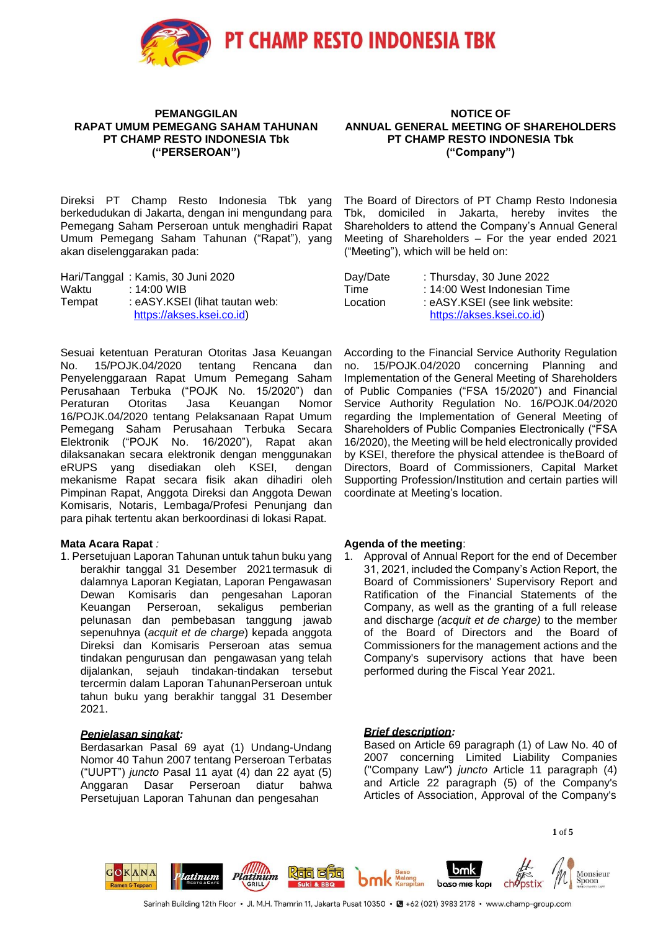

#### **PEMANGGILAN RAPAT UMUM PEMEGANG SAHAM TAHUNAN PT CHAMP RESTO INDONESIA Tbk ("PERSEROAN")**

Direksi PT Champ Resto Indonesia Tbk yang berkedudukan di Jakarta, dengan ini mengundang para Pemegang Saham Perseroan untuk menghadiri Rapat Umum Pemegang Saham Tahunan ("Rapat"), yang akan diselenggarakan pada:

|        | Hari/Tanggal: Kamis, 30 Juni 2020 |
|--------|-----------------------------------|
| Waktu  | : 14:00 WIB                       |
| Tempat | : eASY.KSEI (lihat tautan web:    |
|        | https://akses.ksei.co.id)         |

Sesuai ketentuan Peraturan Otoritas Jasa Keuangan No. 15/POJK.04/2020 tentang Rencana dan Penyelenggaraan Rapat Umum Pemegang Saham Perusahaan Terbuka ("POJK No. 15/2020") dan Peraturan Otoritas Jasa Keuangan Nomor 16/POJK.04/2020 tentang Pelaksanaan Rapat Umum Pemegang Saham Perusahaan Terbuka Secara Elektronik ("POJK No. 16/2020"), Rapat akan dilaksanakan secara elektronik dengan menggunakan eRUPS yang disediakan oleh KSEI, dengan mekanisme Rapat secara fisik akan dihadiri oleh Pimpinan Rapat, Anggota Direksi dan Anggota Dewan Komisaris, Notaris, Lembaga/Profesi Penunjang dan para pihak tertentu akan berkoordinasi di lokasi Rapat.

#### **Mata Acara Rapat** *:*

1. Persetujuan Laporan Tahunan untuk tahun buku yang berakhir tanggal 31 Desember 2021termasuk di dalamnya Laporan Kegiatan, Laporan Pengawasan Dewan Komisaris dan pengesahan Laporan Keuangan Perseroan, sekaligus pemberian pelunasan dan pembebasan tanggung jawab sepenuhnya (*acquit et de charge*) kepada anggota Direksi dan Komisaris Perseroan atas semua tindakan pengurusan dan pengawasan yang telah dijalankan, sejauh tindakan-tindakan tersebut tercermin dalam Laporan TahunanPerseroan untuk tahun buku yang berakhir tanggal 31 Desember 2021.

## *Penjelasan singkat:*

Berdasarkan Pasal 69 ayat (1) Undang-Undang Nomor 40 Tahun 2007 tentang Perseroan Terbatas ("UUPT") *juncto* Pasal 11 ayat (4) dan 22 ayat (5) Anggaran Dasar Perseroan diatur bahwa Persetujuan Laporan Tahunan dan pengesahan

**NOTICE OF ANNUAL GENERAL MEETING OF SHAREHOLDERS PT CHAMP RESTO INDONESIA Tbk ("Company")**

The Board of Directors of PT Champ Resto Indonesia Tbk, domiciled in Jakarta, hereby invites the Shareholders to attend the Company's Annual General Meeting of Shareholders – For the year ended 2021 ("Meeting"), which will be held on:

| Day/Date | : Thursday, 30 June 2022       |
|----------|--------------------------------|
| Time     | : 14:00 West Indonesian Time   |
| Location | : eASY.KSEI (see link website: |
|          | https://akses.ksei.co.id)      |

According to the Financial Service Authority Regulation no. 15/POJK.04/2020 concerning Planning and Implementation of the General Meeting of Shareholders of Public Companies ("FSA 15/2020") and Financial Service Authority Regulation No. 16/POJK.04/2020 regarding the Implementation of General Meeting of Shareholders of Public Companies Electronically ("FSA 16/2020), the Meeting will be held electronically provided by KSEI, therefore the physical attendee is theBoard of Directors, Board of Commissioners, Capital Market Supporting Profession/Institution and certain parties will coordinate at Meeting's location.

### **Agenda of the meeting**:

1. Approval of Annual Report for the end of December 31, 2021, included the Company's Action Report, the Board of Commissioners' Supervisory Report and Ratification of the Financial Statements of the Company, as well as the granting of a full release and discharge *(acquit et de charge)* to the member of the Board of Directors and the Board of Commissioners for the management actions and the Company's supervisory actions that have been performed during the Fiscal Year 2021.

## *Brief description:*

Based on Article 69 paragraph (1) of Law No. 40 of 2007 concerning Limited Liability Companies ("Company Law") *juncto* Article 11 paragraph (4) and Article 22 paragraph (5) of the Company's Articles of Association, Approval of the Company's

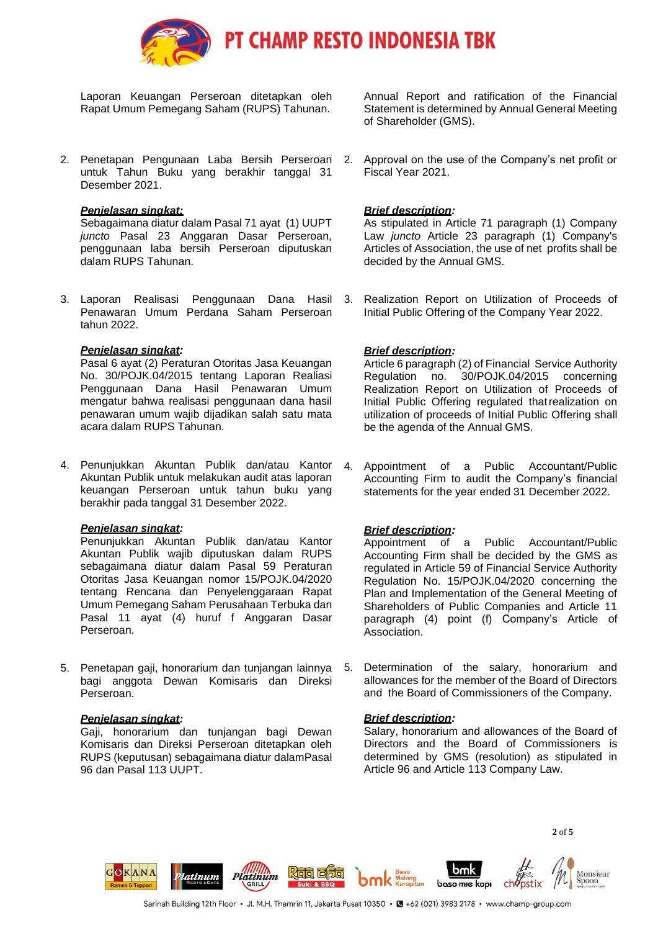

Laporan Keuangan Perseroan ditetapkan oleh Rapat Umum Pemegang Saham (RUPS) Tahunan.

2. Penetapan Pengunaan Laba Bersih Perseroan untuk Tahun Buku yang berakhir tanggal 31 Desember 2021.

### *Penjelasan singkat:*

Sebagaimana diatur dalam Pasal 71 ayat (1) UUPT *juncto* Pasal 23 Anggaran Dasar Perseroan, penggunaan laba bersih Perseroan diputuskan dalam RUPS Tahunan.

3. Laporan Realisasi Penggunaan Dana Hasil Penawaran Umum Perdana Saham Perseroan tahun 2022.

#### *Penjelasan singkat:*

Pasal 6 ayat (2) Peraturan Otoritas Jasa Keuangan No. 30/POJK.04/2015 tentang Laporan Realiasi Penggunaan Dana Hasil Penawaran Umum mengatur bahwa realisasi penggunaan dana hasil penawaran umum wajib dijadikan salah satu mata acara dalam RUPS Tahunan.

4. Penunjukkan Akuntan Publik dan/atau Kantor Akuntan Publik untuk melakukan audit atas laporan keuangan Perseroan untuk tahun buku yang berakhir pada tanggal 31 Desember 2022.

#### *Penjelasan singkat:*

Penunjukkan Akuntan Publik dan/atau Kantor Akuntan Publik wajib diputuskan dalam RUPS sebagaimana diatur dalam Pasal 59 Peraturan Otoritas Jasa Keuangan nomor 15/POJK.04/2020 tentang Rencana dan Penyelenggaraan Rapat Umum Pemegang Saham Perusahaan Terbuka dan Pasal 11 ayat (4) huruf f Anggaran Dasar Perseroan.

5. Penetapan gaji, honorarium dan tunjangan lainnya bagi anggota Dewan Komisaris dan Direksi Perseroan.

## *Penjelasan singkat:*

Gaji, honorarium dan tunjangan bagi Dewan Komisaris dan Direksi Perseroan ditetapkan oleh RUPS (keputusan) sebagaimana diatur dalamPasal 96 dan Pasal 113 UUPT.

Annual Report and ratification of the Financial Statement is determined by Annual General Meeting of Shareholder (GMS).

2. Approval on the use of the Company's net profit or Fiscal Year 2021.

## *Brief description:*

As stipulated in Article 71 paragraph (1) Company Law *juncto* Article 23 paragraph (1) Company's Articles of Association, the use of net profits shall be decided by the Annual GMS.

3. Realization Report on Utilization of Proceeds of Initial Public Offering of the Company Year 2022.

## *Brief description:*

Article 6 paragraph (2) of Financial Service Authority Regulation no. 30/POJK.04/2015 concerning Realization Report on Utilization of Proceeds of Initial Public Offering regulated thatrealization on utilization of proceeds of Initial Public Offering shall be the agenda of the Annual GMS.

4. Appointment of a Public Accountant/Public Accounting Firm to audit the Company's financial statements for the year ended 31 December 2022.

## *Brief description:*

Appointment of a Public Accountant/Public Accounting Firm shall be decided by the GMS as regulated in Article 59 of Financial Service Authority Regulation No. 15/POJK.04/2020 concerning the Plan and Implementation of the General Meeting of Shareholders of Public Companies and Article 11 paragraph (4) point (f) Company's Article of Association.

5. Determination of the salary, honorarium and allowances for the member of the Board of Directors and the Board of Commissioners of the Company.

## *Brief description:*

Salary, honorarium and allowances of the Board of Directors and the Board of Commissioners is determined by GMS (resolution) as stipulated in Article 96 and Article 113 Company Law.

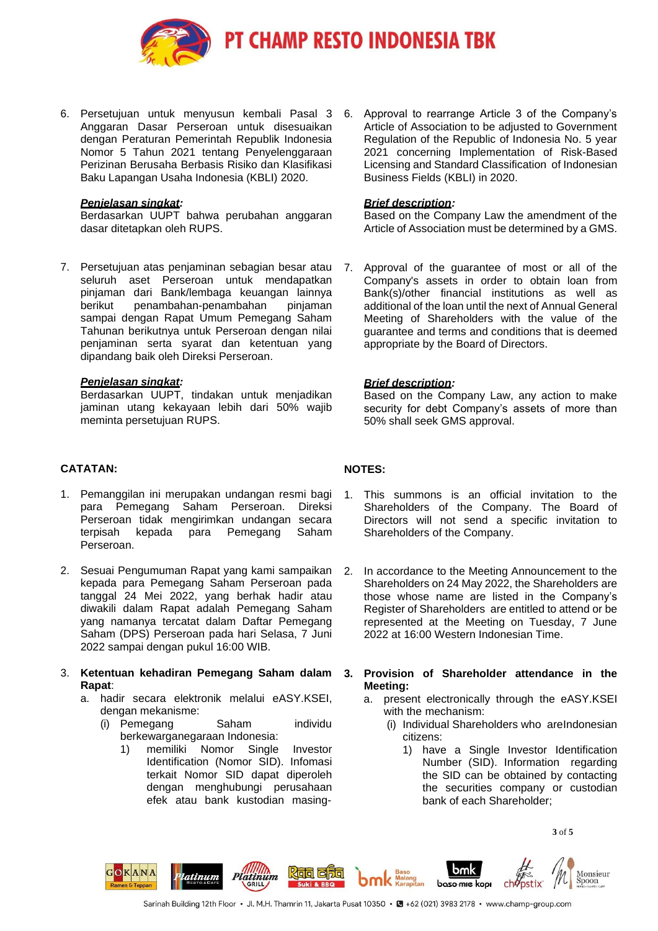

**PT CHAMP RESTO INDONESIA TBK** 

6. Persetujuan untuk menyusun kembali Pasal 3 Anggaran Dasar Perseroan untuk disesuaikan dengan Peraturan Pemerintah Republik Indonesia Nomor 5 Tahun 2021 tentang Penyelenggaraan Perizinan Berusaha Berbasis Risiko dan Klasifikasi Baku Lapangan Usaha Indonesia (KBLI) 2020.

### *Penjelasan singkat:*

Berdasarkan UUPT bahwa perubahan anggaran dasar ditetapkan oleh RUPS.

7. Persetujuan atas penjaminan sebagian besar atau seluruh aset Perseroan untuk mendapatkan pinjaman dari Bank/lembaga keuangan lainnya berikut penambahan-penambahan pinjaman sampai dengan Rapat Umum Pemegang Saham Tahunan berikutnya untuk Perseroan dengan nilai penjaminan serta syarat dan ketentuan yang dipandang baik oleh Direksi Perseroan.

#### *Penjelasan singkat:*

Berdasarkan UUPT, tindakan untuk menjadikan jaminan utang kekayaan lebih dari 50% wajib meminta persetujuan RUPS.

- **CATATAN:**
- 1. Pemanggilan ini merupakan undangan resmi bagi para Pemegang Saham Perseroan. Direksi Perseroan tidak mengirimkan undangan secara terpisah kepada para Pemegang Saham Perseroan.
- 2. Sesuai Pengumuman Rapat yang kami sampaikan kepada para Pemegang Saham Perseroan pada tanggal 24 Mei 2022, yang berhak hadir atau diwakili dalam Rapat adalah Pemegang Saham yang namanya tercatat dalam Daftar Pemegang Saham (DPS) Perseroan pada hari Selasa, 7 Juni 2022 sampai dengan pukul 16:00 WIB.
- 3. **Ketentuan kehadiran Pemegang Saham dalam Rapat**:
	- a. hadir secara elektronik melalui eASY.KSEI, dengan mekanisme:
		- (i) Pemegang Saham individu berkewarganegaraan Indonesia:
			- 1) memiliki Nomor Single Investor Identification (Nomor SID). Infomasi terkait Nomor SID dapat diperoleh dengan menghubungi perusahaan efek atau bank kustodian masing-

6. Approval to rearrange Article 3 of the Company's Article of Association to be adjusted to Government Regulation of the Republic of Indonesia No. 5 year 2021 concerning Implementation of Risk-Based Licensing and Standard Classification of Indonesian Business Fields (KBLI) in 2020.

#### *Brief description:*

Based on the Company Law the amendment of the Article of Association must be determined by a GMS.

7. Approval of the guarantee of most or all of the Company's assets in order to obtain loan from Bank(s)/other financial institutions as well as additional of the loan until the next of Annual General Meeting of Shareholders with the value of the guarantee and terms and conditions that is deemed appropriate by the Board of Directors.

### *Brief description:*

Based on the Company Law, any action to make security for debt Company's assets of more than 50% shall seek GMS approval.

## **NOTES:**

- 1. This summons is an official invitation to the Shareholders of the Company. The Board of Directors will not send a specific invitation to Shareholders of the Company.
- 2. In accordance to the Meeting Announcement to the Shareholders on 24 May 2022, the Shareholders are those whose name are listed in the Company's Register of Shareholders are entitled to attend or be represented at the Meeting on Tuesday, 7 June 2022 at 16:00 Western Indonesian Time.
- **3. Provision of Shareholder attendance in the Meeting:**
	- a. present electronically through the eASY.KSEI with the mechanism:
		- (i) Individual Shareholders who areIndonesian citizens:
			- 1) have a Single Investor Identification Number (SID). Information regarding the SID can be obtained by contacting the securities company or custodian bank of each Shareholder;

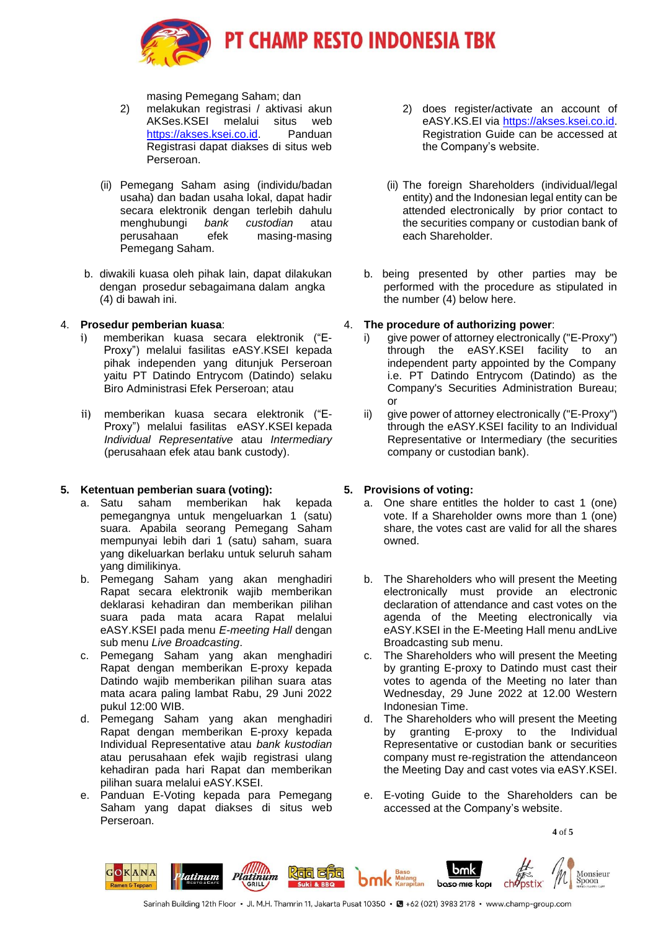

masing Pemegang Saham; dan

- 2) melakukan registrasi / aktivasi akun AKSes.KSEI melalui situs web https://akses.ksei.co.id. Panduan Registrasi dapat diakses di situs web Perseroan.
- (ii) Pemegang Saham asing (individu/badan usaha) dan badan usaha lokal, dapat hadir secara elektronik dengan terlebih dahulu menghubungi *bank custodian* atau masing-masing Pemegang Saham.
- b. diwakili kuasa oleh pihak lain, dapat dilakukan dengan prosedur sebagaimana dalam angka (4) di bawah ini.

## 4. **Prosedur pemberian kuasa**:

- i) memberikan kuasa secara elektronik ("E-Proxy") melalui fasilitas eASY.KSEI kepada pihak independen yang ditunjuk Perseroan yaitu PT Datindo Entrycom (Datindo) selaku Biro Administrasi Efek Perseroan; atau
- ii) memberikan kuasa secara elektronik ("E-Proxy") melalui fasilitas eASY.KSEI kepada *Individual Representative* atau *Intermediary* (perusahaan efek atau bank custody).

# **5. Ketentuan pemberian suara (voting):**

- a. Satu saham memberikan hak kepada pemegangnya untuk mengeluarkan 1 (satu) suara. Apabila seorang Pemegang Saham mempunyai lebih dari 1 (satu) saham, suara yang dikeluarkan berlaku untuk seluruh saham yang dimilikinya.
- b. Pemegang Saham yang akan menghadiri Rapat secara elektronik wajib memberikan deklarasi kehadiran dan memberikan pilihan suara pada mata acara Rapat melalui eASY.KSEI pada menu *E-meeting Hall* dengan sub menu *Live Broadcasting*.
- c. Pemegang Saham yang akan menghadiri Rapat dengan memberikan E-proxy kepada Datindo wajib memberikan pilihan suara atas mata acara paling lambat Rabu, 29 Juni 2022 pukul 12:00 WIB.
- d. Pemegang Saham yang akan menghadiri Rapat dengan memberikan E-proxy kepada Individual Representative atau *bank kustodian* atau perusahaan efek wajib registrasi ulang kehadiran pada hari Rapat dan memberikan pilihan suara melalui eASY.KSEI.
- e. Panduan E-Voting kepada para Pemegang Saham yang dapat diakses di situs web Perseroan.
- 2) does register/activate an account of eASY.KS.EI via https://akses.ksei.co.id. Registration Guide can be accessed at the Company's website.
- (ii) The foreign Shareholders (individual/legal entity) and the Indonesian legal entity can be attended electronically by prior contact to the securities company or custodian bank of each Shareholder.
- b. being presented by other parties may be performed with the procedure as stipulated in the number (4) below here.

## 4. **The procedure of authorizing power**:

- i) give power of attorney electronically ("E-Proxy") through the eASY.KSEI facility to an independent party appointed by the Company i.e. PT Datindo Entrycom (Datindo) as the Company's Securities Administration Bureau; or
- ii) give power of attorney electronically ("E-Proxy") through the eASY.KSEI facility to an Individual Representative or Intermediary (the securities company or custodian bank).

# **5. Provisions of voting:**

- a. One share entitles the holder to cast 1 (one) vote. If a Shareholder owns more than 1 (one) share, the votes cast are valid for all the shares owned.
- b. The Shareholders who will present the Meeting electronically must provide an electronic declaration of attendance and cast votes on the agenda of the Meeting electronically via eASY.KSEI in the E-Meeting Hall menu andLive Broadcasting sub menu.
- c. The Shareholders who will present the Meeting by granting E-proxy to Datindo must cast their votes to agenda of the Meeting no later than Wednesday, 29 June 2022 at 12.00 Western Indonesian Time.
- d. The Shareholders who will present the Meeting by granting E-proxy to the Individual Representative or custodian bank or securities company must re-registration the attendanceon the Meeting Day and cast votes via eASY.KSEI.
- e. E-voting Guide to the Shareholders can be accessed at the Company's website.